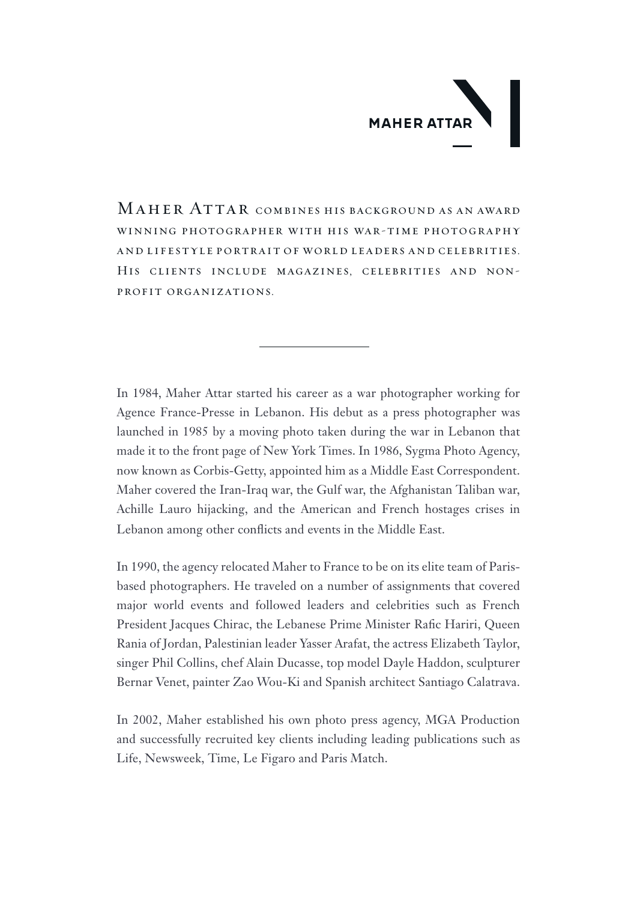## **MAHER ATTAR**

MAHER ATTAR COMBINES HIS BACKGROUND AS AN AWARD WINNING PHOTOGRAPHER WITH HIS WAR-TIME PHOTOGRAPHY AND LIFESTYLE PORTRAIT OF WORLD LEADERS AND CELEBRITIES. HIS CLIENTS INCLUDE MAGAZINES, CELEBRITIES AND NON-PROFIT-ORGANIZATIONS.

In 1984, Maher Attar started his career as a war photographer working for Agence France-Presse in Lebanon. His debut as a press photographer was launched in 1985 by a moving photo taken during the war in Lebanon that made it to the front page of New York Times. In 1986, Sygma Photo Agency, now known as Corbis-Getty, appointed him as a Middle East Correspondent. Maher covered the Iran-Iraq war, the Gulf war, the Afghanistan Taliban war, Achille Lauro hijacking, and the American and French hostages crises in Lebanon among other conflicts and events in the Middle East.

based photographers. He traveled on a number of assignments that covered In 1990, the agency relocated Maher to France to be on its elite team of Parismajor world events and followed leaders and celebrities such as French President Jacques Chirac, the Lebanese Prime Minister Rafic Hariri, Queen Rania of Jordan, Palestinian leader Yasser Arafat, the actress Elizabeth Taylor, singer Phil Collins, chef Alain Ducasse, top model Dayle Haddon, sculpturer Bernar Venet, painter Zao Wou-Ki and Spanish architect Santiago Calatrava.

In 2002, Maher established his own photo press agency, MGA Production and successfully recruited key clients including leading publications such as Life, Newsweek, Time, Le Figaro and Paris Match.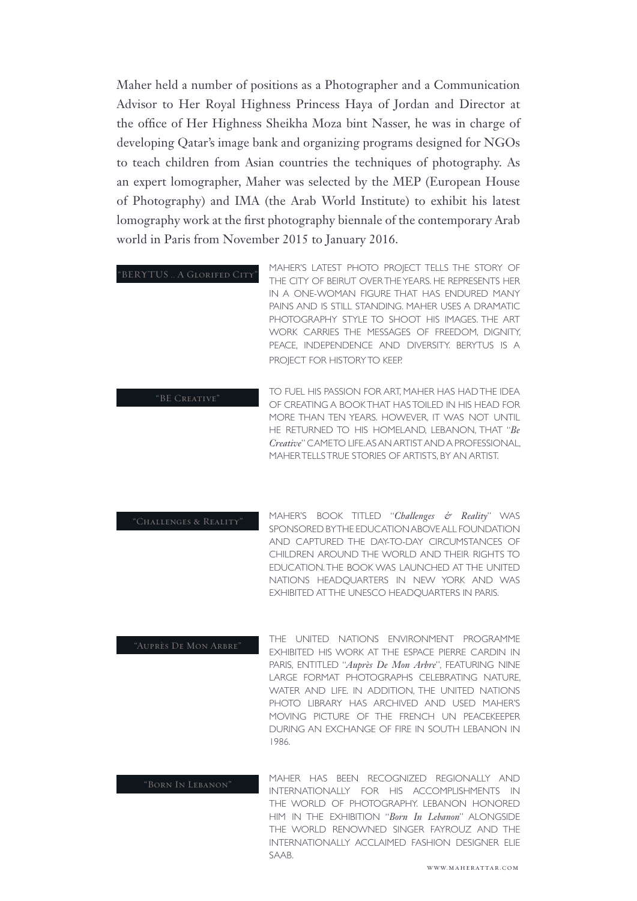Maher held a number of positions as a Photographer and a Communication Advisor to Her Royal Highness Princess Haya of Jordan and Director at the office of Her Highness Sheikha Moza bint Nasser, he was in charge of developing Qatar's image bank and organizing programs designed for NGOs to teach children from Asian countries the techniques of photography. As an expert lomographer, Maher was selected by the MEP (European House of Photography) and IMA (the Arab World Institute) to exhibit his latest lomography work at the first photography biennale of the contemporary Arab world in Paris from November 2015 to January 2016.

|                            | MAHER'S LATEST PHOTO PROJECT TELLS THE STORY OF            |
|----------------------------|------------------------------------------------------------|
| "BERYTUS  A GLORIFED CITY" | THE CITY OF BEIRUT OVER THE YEARS. HE REPRESENTS HER       |
|                            | IN A ONE-WOMAN FIGURE THAT HAS ENDURED MANY                |
|                            | PAINS AND IS STILL STANDING. MAHER USES A DRAMATIC.        |
|                            | PHOTOGRAPHY STYLE TO SHOOT HIS IMAGES. THE ART             |
|                            | WORK CARRIES THE MESSAGES OF FREEDOM. DIGNITY.             |
|                            | PEACE, INDEPENDENCE AND DIVERSITY. BERYTUS IS A            |
|                            | PROJECT FOR HISTORY TO KEEP.                               |
|                            |                                                            |
|                            | TO ELIEL LIIC DACCIONI EOD ADT MALIED LIAC LIAD TLIE IDEA. |

TO FUEL HIS PASSION FOR ART, MAHER HAS HAD THE IDEA OF CREATING A BOOK THAT HAS TOILED IN HIS HEAD FOR MORE THAN TEN YEARS. HOWEVER. IT WAS NOT UNTIL HE RETURNED TO HIS HOMELAND, LEBANON THAT "*Re* Creative" CAMETO LIFE. AS AN ARTIST AND A PROFESSIONAL, MAHER TELLS TRUE STORIES OF ARTISTS. BY AN ARTIST. BE CREATIVE

MAHER'S BOOK TITLED "Challenges & Reality" WAS SPONSORED BYTHE EDUCATION ABOVE ALL FOUNDATION AND CAPTURED THE DAY-TO-DAY CIRCUMSTANCES OF CHILDREN AROUND THE WORLD AND THEIR RIGHTS TO EDUCATION. THE BOOK WAS LAUNCHED AT THE UNITED NATIONS HEADQUARTERS IN NEW YORK AND WAS EXHIBITED AT THE UNESCO HEADOUARTERS IN PARIS. "CHALLENGES & REALITY"

THE UNITED NATIONS ENVIRONMENT PROGRAMME EXHIBITED HIS WORK AT THE ESPACE PIERRE CARDIN IN PARIS, ENTITLED "*Auprès De Mon Arbre*", FEATURING NINE LARGE FORMAT PHOTOGRAPHS CELEBRATING NATURE, WATER AND LIFE. IN ADDITION, THE UNITED NATIONS PHOTO LIBRARY HAS ARCHIVED AND USED MAHER'S MOVING PICTURE OF THE FRENCH UN PEACEKEEPER DURING AN EXCHANGE OF FIRE IN SOUTH LEBANON IN 1986. "AUPRÈS DE MON ARBRE"

MAHER HAS BEEN RECOGNIZED REGIONALLY AND INTERNATIONALLY FOR HIS ACCOMPLISHMENTS IN THE WORLD OF PHOTOGRAPHY. LEBANON HONORED HIM IN THE EXHIBITION "Born In Lebanon" ALONGSIDE THE WORLD RENOWNED SINGER FAYROUZ AND THE INTERNATIONALLY ACCLAIMED FASHION DESIGNER ELIE SAAB. "BORN IN LEBANON"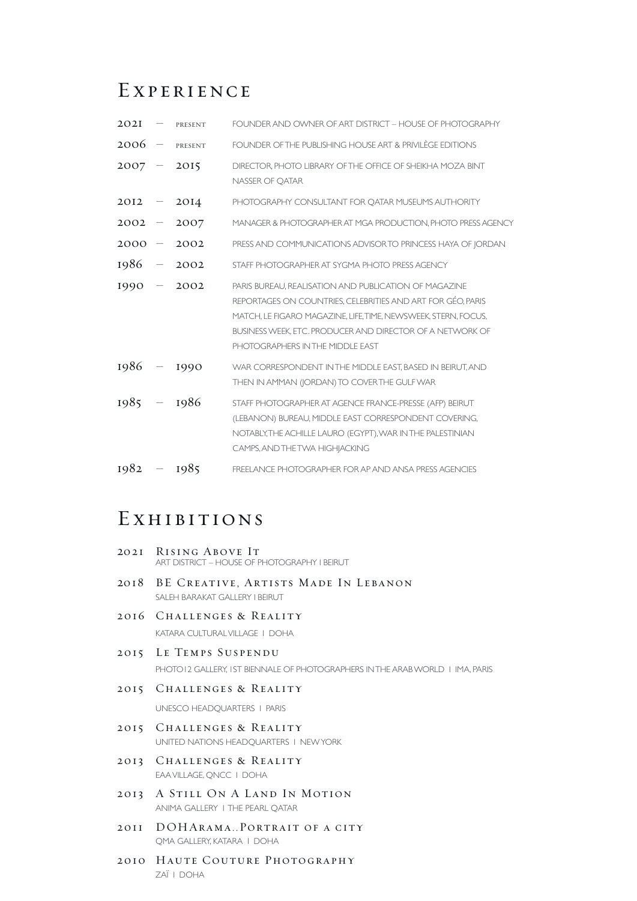## **EXPERIENCE**

| 202I     | $\overbrace{\phantom{13333}}$ | PRESENT | FOUNDER AND OWNER OF ART DISTRICT - HOUSE OF PHOTOGRAPHY                                                                                                                                                                                                                                |
|----------|-------------------------------|---------|-----------------------------------------------------------------------------------------------------------------------------------------------------------------------------------------------------------------------------------------------------------------------------------------|
| 2006     | $\overline{\phantom{m}}$      | PRESENT | FOUNDER OF THE PUBLISHING HOUSE ART & PRIVILÈGE EDITIONS                                                                                                                                                                                                                                |
| $2007 -$ |                               | 2015    | DIRECTOR, PHOTO LIBRARY OF THE OFFICE OF SHEIKHA MOZA BINT<br>NASSER OF OATAR                                                                                                                                                                                                           |
| 2012     |                               | 2014    | PHOTOGRAPHY CONSULTANT FOR OATAR MUSEUMS AUTHORITY                                                                                                                                                                                                                                      |
| 2002     | $\overline{\phantom{m}}$      | 2007    | MANAGER & PHOTOGRAPHER AT MGA PRODUCTION, PHOTO PRESS AGENCY                                                                                                                                                                                                                            |
| 2000     | $\overline{\phantom{m}}$      | 2002    | PRESS AND COMMUNICATIONS ADVISOR TO PRINCESS HAYA OF JORDAN                                                                                                                                                                                                                             |
| 1986     | $\overline{\phantom{m}}$      | 2002    | STAFF PHOTOGRAPHER AT SYGMA PHOTO PRESS AGENCY                                                                                                                                                                                                                                          |
| 1990     | $\overline{\phantom{m}}$      | 2002    | PARIS BUREAU, REALISATION AND PUBLICATION OF MAGAZINE<br>REPORTAGES ON COUNTRIES, CELEBRITIES AND ART FOR GÉO, PARIS<br>MATCH, LE FIGARO MAGAZINE, LIFE, TIME, NEWSWEEK, STERN, FOCUS,<br>BUSINESS WEEK, ETC. PRODUCER AND DIRECTOR OF A NETWORK OF<br>PHOTOGRAPHERS IN THE MIDDLE EAST |
| 1986     |                               | 1990    | WAR CORRESPONDENT IN THE MIDDLE EAST, BASED IN BEIRUT, AND<br>THEN IN AMMAN (IORDAN) TO COVERTHE GULF WAR                                                                                                                                                                               |
| 1985     | $\overline{\phantom{m}}$      | 1986    | STAFF PHOTOGRAPHER AT AGENCE FRANCE-PRESSE (AFP) BEIRUT<br>(LEBANON) BUREAU, MIDDLE EAST CORRESPONDENT COVERING,<br>NOTABLY, THE ACHILLE LAURO (EGYPT), WAR IN THE PALESTINIAN<br>CAMPS, AND THE TWA HIGH ACKING                                                                        |
| 1982     |                               | 1985    | FREELANCE PHOTOGRAPHER FOR AP AND ANSA PRESS AGENCIES                                                                                                                                                                                                                                   |

## EXHIBITIONS

- **2021 RISING ABOVE IT**<br>ART DISTRICT HOUSE OF PHOTOGRAPHY I BEIRUT
- 2018 BE CREATIVE, ARTISTS MADE IN LEBANON SALEH BARAKAT GALLERY I BEIRUT
- 2016 CHALLENGES & REALITY KATARA CULTURAL VILLAGE | DOHA
- 2015 LE TEMPS SUSPENDU PHOTO 12 GALLERY, IST BIENNALE OF PHOTOGRAPHERS IN THE ARAB WORLD I IMA, PARIS
- 2015 CHALLENGES & REALITY

UNESCO HEADQUARTERS | PARIS

- 2015 CHALLENGES & REALITY UNITED NATIONS HEADQUARTERS 1 NEW YORK
- 2013 CHALLENGES & REALITY EAA VILLAGE, QNCC | DOHA
- 2013 A STILL ON A LAND IN MOTION ANIMA GALLERY I THE PEARL OATAR
- 2011 DOHARAMA..PORTRAIT OF A CITY OMA GALLERY, KATARA | DOHA
- 2010 HAUTE COUTURE PHOTOGRAPHY DOHA I ZAÏ